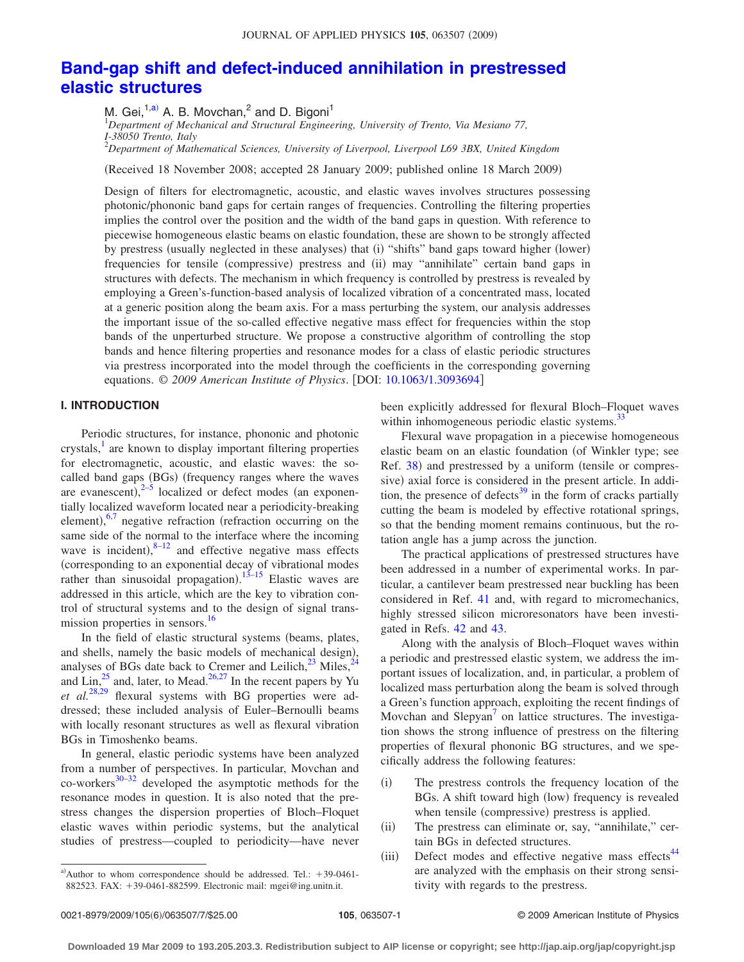# **[Band-gap shift and defect-induced annihilation in prestressed](http://dx.doi.org/10.1063/1.3093694) [elastic structures](http://dx.doi.org/10.1063/1.3093694)**

M. Gei,<sup>1[,a](#page-0-0))</sup> A. B. Movchan,<sup>2</sup> and D. Bigoni<sup>1</sup><br><sup>1</sup>Department of Mechanical and Structural Engineering, University of Trento, Via Mesiano 77, *I-38050 Trento, Italy*

2 *Department of Mathematical Sciences, University of Liverpool, Liverpool L69 3BX, United Kingdom*

(Received 18 November 2008; accepted 28 January 2009; published online 18 March 2009)

Design of filters for electromagnetic, acoustic, and elastic waves involves structures possessing photonic/phononic band gaps for certain ranges of frequencies. Controlling the filtering properties implies the control over the position and the width of the band gaps in question. With reference to piecewise homogeneous elastic beams on elastic foundation, these are shown to be strongly affected by prestress (usually neglected in these analyses) that (i) "shifts" band gaps toward higher (lower) frequencies for tensile (compressive) prestress and (ii) may "annihilate" certain band gaps in structures with defects. The mechanism in which frequency is controlled by prestress is revealed by employing a Green's-function-based analysis of localized vibration of a concentrated mass, located at a generic position along the beam axis. For a mass perturbing the system, our analysis addresses the important issue of the so-called effective negative mass effect for frequencies within the stop bands of the unperturbed structure. We propose a constructive algorithm of controlling the stop bands and hence filtering properties and resonance modes for a class of elastic periodic structures via prestress incorporated into the model through the coefficients in the corresponding governing equations. © 2009 American Institute of Physics. [DOI: [10.1063/1.3093694](http://dx.doi.org/10.1063/1.3093694)]

#### **I. INTRODUCTION**

Periodic structures, for instance, phononic and photonic crystals, $\frac{1}{x}$  are known to display important filtering properties for electromagnetic, acoustic, and elastic waves: the socalled band gaps (BGs) (frequency ranges where the waves are evanescent), $2-5$  $2-5$  localized or defect modes (an exponentially localized waveform located near a periodicity-breaking element),  $6,7$  $6,7$  negative refraction (refraction occurring on the same side of the normal to the interface where the incoming wave is incident), $8-12$  $8-12$  and effective negative mass effects corresponding to an exponential decay of vibrational modes rather than sinusoidal propagation).<sup>[13–](#page-6-7)[15](#page-6-8)</sup> Elastic waves are addressed in this article, which are the key to vibration control of structural systems and to the design of signal transmission properties in sensors.<sup>16</sup>

In the field of elastic structural systems (beams, plates, and shells, namely the basic models of mechanical design), analyses of BGs date back to Cremer and Leilich, $^{23}$  Miles, $^{2}$ and Lin, $^{25}$  and, later, to Mead. $^{26,27}$  $^{26,27}$  $^{26,27}$  In the recent papers by Yu et al.<sup>[28](#page-6-15)[,29](#page-6-16)</sup> flexural systems with BG properties were addressed; these included analysis of Euler–Bernoulli beams with locally resonant structures as well as flexural vibration BGs in Timoshenko beams.

In general, elastic periodic systems have been analyzed from a number of perspectives. In particular, Movchan and  $\cos$ -workers<sup>30[–32](#page-6-18)</sup> developed the asymptotic methods for the resonance modes in question. It is also noted that the prestress changes the dispersion properties of Bloch–Floquet elastic waves within periodic systems, but the analytical studies of prestress—coupled to periodicity—have never

been explicitly addressed for flexural Bloch–Floquet waves within inhomogeneous periodic elastic systems.<sup>33</sup>

Flexural wave propagation in a piecewise homogeneous elastic beam on an elastic foundation (of Winkler type; see Ref. [38](#page-6-20)) and prestressed by a uniform (tensile or compressive) axial force is considered in the present article. In addition, the presence of defects<sup>39</sup> in the form of cracks partially cutting the beam is modeled by effective rotational springs, so that the bending moment remains continuous, but the rotation angle has a jump across the junction.

The practical applications of prestressed structures have been addressed in a number of experimental works. In particular, a cantilever beam prestressed near buckling has been considered in Ref. [41](#page-6-22) and, with regard to micromechanics, highly stressed silicon microresonators have been investigated in Refs. [42](#page-6-23) and [43.](#page-6-24)

Along with the analysis of Bloch–Floquet waves within a periodic and prestressed elastic system, we address the important issues of localization, and, in particular, a problem of localized mass perturbation along the beam is solved through a Green's function approach, exploiting the recent findings of Movchan and  $Slepvan<sup>7</sup>$  on lattice structures. The investigation shows the strong influence of prestress on the filtering properties of flexural phononic BG structures, and we specifically address the following features:

- $(i)$  The prestress controls the frequency location of the BGs. A shift toward high (low) frequency is revealed when tensile (compressive) prestress is applied.
- $(ii)$  The prestress can eliminate or, say, "annihilate," certain BGs in defected structures.
- $(iii)$ Defect modes and effective negative mass effects<sup>44</sup> are analyzed with the emphasis on their strong sensitivity with regards to the prestress.

<span id="page-0-0"></span>a)Author to whom correspondence should be addressed. Tel.:  $+39-0461-$ 882523. FAX: +39-0461-882599. Electronic mail: mgei@ing.unitn.it.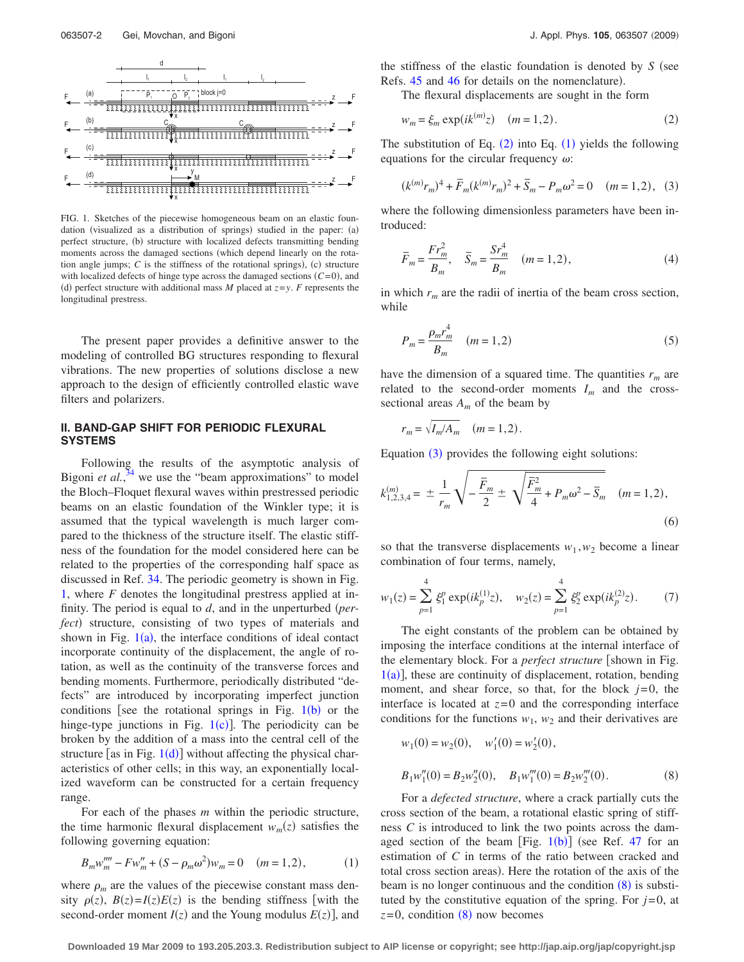<span id="page-1-0"></span>

FIG. 1. Sketches of the piecewise homogeneous beam on an elastic foundation (visualized as a distribution of springs) studied in the paper: (a) perfect structure, (b) structure with localized defects transmitting bending moments across the damaged sections (which depend linearly on the rotation angle jumps;  $C$  is the stiffness of the rotational springs), (c) structure with localized defects of hinge type across the damaged sections  $(C=0)$ , and (d) perfect structure with additional mass *M* placed at  $z = y$ . *F* represents the longitudinal prestress.

The present paper provides a definitive answer to the modeling of controlled BG structures responding to flexural vibrations. The new properties of solutions disclose a new approach to the design of efficiently controlled elastic wave filters and polarizers.

#### **II. BAND-GAP SHIFT FOR PERIODIC FLEXURAL SYSTEMS**

Following the results of the asymptotic analysis of Bigoni *et al.*, $34$  we use the "beam approximations" to model the Bloch–Floquet flexural waves within prestressed periodic beams on an elastic foundation of the Winkler type; it is assumed that the typical wavelength is much larger compared to the thickness of the structure itself. The elastic stiffness of the foundation for the model considered here can be related to the properties of the corresponding half space as discussed in Ref. [34.](#page-6-26) The periodic geometry is shown in Fig. [1,](#page-1-0) where *F* denotes the longitudinal prestress applied at infinity. The period is equal to *d*, and in the unperturbed *per*fect) structure, consisting of two types of materials and shown in Fig.  $1(a)$  $1(a)$ , the interface conditions of ideal contact incorporate continuity of the displacement, the angle of rotation, as well as the continuity of the transverse forces and bending moments. Furthermore, periodically distributed "defects" are introduced by incorporating imperfect junction conditions [see the rotational springs in Fig.  $1(b)$  $1(b)$  $1(b)$  or the hinge-type junctions in Fig.  $1(c)$  $1(c)$ ]. The periodicity can be broken by the addition of a mass into the central cell of the structure [as in Fig.  $1(d)$  $1(d)$ ] without affecting the physical characteristics of other cells; in this way, an exponentially localized waveform can be constructed for a certain frequency range.

For each of the phases *m* within the periodic structure, the time harmonic flexural displacement  $w_m(z)$  satisfies the following governing equation:

$$
B_m w_m''' - F w_m'' + (S - \rho_m \omega^2) w_m = 0 \quad (m = 1, 2), \tag{1}
$$

<span id="page-1-2"></span>where  $\rho_m$  are the values of the piecewise constant mass density  $\rho(z)$ ,  $B(z) = I(z)E(z)$  is the bending stiffness [with the second-order moment  $I(z)$  and the Young modulus  $E(z)$ , and the stiffness of the elastic foundation is denoted by  $S$  (see Refs. [45](#page-6-27) and [46](#page-6-28) for details on the nomenclature).

<span id="page-1-1"></span>The flexural displacements are sought in the form

$$
w_m = \xi_m \exp(ik^{(m)}z) \quad (m = 1, 2). \tag{2}
$$

The substitution of Eq.  $(2)$  $(2)$  $(2)$  into Eq.  $(1)$  $(1)$  $(1)$  yields the following equations for the circular frequency  $\omega$ :

<span id="page-1-3"></span>
$$
(k^{(m)}r_m)^4 + \bar{F}_m(k^{(m)}r_m)^2 + \bar{S}_m - P_m\omega^2 = 0 \quad (m = 1, 2), \tag{3}
$$

where the following dimensionless parameters have been introduced:

<span id="page-1-6"></span>
$$
\overline{F}_m = \frac{Fr_m^2}{B_m}, \quad \overline{S}_m = \frac{Sr_m^4}{B_m} \quad (m = 1, 2), \tag{4}
$$

in which  $r_m$  are the radii of inertia of the beam cross section, while

<span id="page-1-7"></span>
$$
P_m = \frac{\rho_m r_m^4}{B_m} \quad (m = 1, 2)
$$
 (5)

have the dimension of a squared time. The quantities  $r_m$  are related to the second-order moments  $I_m$  and the crosssectional areas  $A_m$  of the beam by

$$
r_m = \sqrt{I_m/A_m} \quad (m = 1, 2).
$$

Equation  $(3)$  $(3)$  $(3)$  provides the following eight solutions:

<span id="page-1-5"></span>
$$
k_{1,2,3,4}^{(m)} = \pm \frac{1}{r_m} \sqrt{-\frac{\overline{F}_m}{2}} \pm \sqrt{\frac{\overline{F}_m^2}{4} + P_m \omega^2 - \overline{S}_m} \quad (m = 1,2),
$$
\n(6)

so that the transverse displacements  $w_1, w_2$  become a linear combination of four terms, namely,

$$
w_1(z) = \sum_{p=1}^4 \xi_1^p \exp(ik_p^{(1)}z), \quad w_2(z) = \sum_{p=1}^4 \xi_2^p \exp(ik_p^{(2)}z). \tag{7}
$$

The eight constants of the problem can be obtained by imposing the interface conditions at the internal interface of the elementary block. For a *perfect structure* [shown in Fig.  $1(a)$  $1(a)$ , these are continuity of displacement, rotation, bending moment, and shear force, so that, for the block  $j=0$ , the interface is located at  $z=0$  and the corresponding interface conditions for the functions  $w_1$ ,  $w_2$  and their derivatives are

<span id="page-1-4"></span>
$$
w_1(0) = w_2(0), \quad w'_1(0) = w'_2(0),
$$
  
\n
$$
B_1 w''_1(0) = B_2 w''_2(0), \quad B_1 w''_1(0) = B_2 w''_2(0).
$$
 (8)

For a *defected structure*, where a crack partially cuts the cross section of the beam, a rotational elastic spring of stiffness *C* is introduced to link the two points across the damaged section of the beam [Fig.  $1(b)$  $1(b)$ ] (see Ref. [47](#page-6-29) for an estimation of *C* in terms of the ratio between cracked and total cross section areas). Here the rotation of the axis of the beam is no longer continuous and the condition  $(8)$  $(8)$  $(8)$  is substituted by the constitutive equation of the spring. For  $j=0$ , at  $z=0$ , condition  $(8)$  $(8)$  $(8)$  now becomes

**Downloaded 19 Mar 2009 to 193.205.203.3. Redistribution subject to AIP license or copyright; see http://jap.aip.org/jap/copyright.jsp**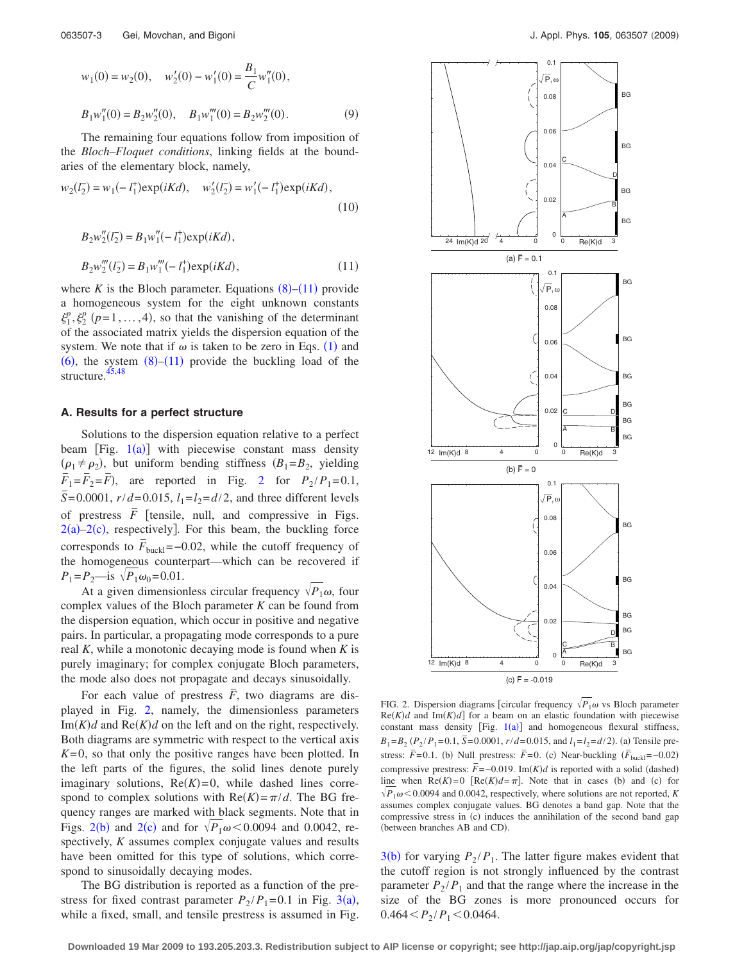<span id="page-2-2"></span>
$$
w_1(0) = w_2(0), \quad w'_2(0) - w'_1(0) = \frac{B_1}{C} w''_1(0),
$$
  

$$
B_1 w''_1(0) = B_2 w''_2(0), \quad B_1 w'''_1(0) = B_2 w'''_2(0).
$$
 (9)

The remaining four equations follow from imposition of the *Bloch–Floquet conditions*, linking fields at the boundaries of the elementary block, namely,

$$
w_2(l_2^-) = w_1(-l_1^+) \exp(iKd), \quad w_2'(l_2^-) = w_1'(-l_1^+) \exp(iKd),\tag{10}
$$

<span id="page-2-0"></span>
$$
B_2 w''_2(l_2^-) = B_1 w''_1(-l_1^+) \exp(iKd),
$$
  
\n
$$
B_2 w''_2(l_2^-) = B_1 w''_1(-l_1^+) \exp(iKd),
$$
\n(11)

where  $K$  is the Bloch parameter. Equations  $(8)$  $(8)$  $(8)$ – $(11)$  $(11)$  $(11)$  provide a homogeneous system for the eight unknown constants  $\xi_1^p$ ,  $\xi_2^p$  ( $p=1,\ldots,4$ ), so that the vanishing of the determinant of the associated matrix yields the dispersion equation of the system. We note that if  $\omega$  is taken to be zero in Eqs. ([1](#page-1-2)) and  $(6)$  $(6)$  $(6)$ , the system  $(8)$  $(8)$  $(8)$ - $(11)$  $(11)$  $(11)$  provide the buckling load of the structure.<sup>45[,48](#page-6-30)</sup>

#### **A. Results for a perfect structure**

Solutions to the dispersion equation relative to a perfect beam [Fig.  $1(a)$  $1(a)$ ] with piecewise constant mass density  $(\rho_1 \neq \rho_2)$ , but uniform bending stiffness  $(B_1 = B_2)$ , yielding  $\overline{F}_1 = \overline{F}_2 = \overline{F}$  $\overline{F}_1 = \overline{F}_2 = \overline{F}$  $\overline{F}_1 = \overline{F}_2 = \overline{F}$ , are reported in Fig. 2 for  $P_2 / P_1 = 0.1$ ,  $\overline{S}$  = 0.0001, *r*/*d*=0.015, *l*<sub>1</sub>=*l*<sub>2</sub>=*d*/2, and three different levels of prestress  $\overline{F}$  [tensile, null, and compressive in Figs.  $2(a)-2(c)$  $2(a)-2(c)$ , respectively]. For this beam, the buckling force corresponds to  $\vec{F}_{\text{buckl}}$ =−0.02, while the cutoff frequency of the homogeneous counterpart—which can be recovered if  $P_1 = P_2$ —is  $\sqrt{P_1 \omega_0} = 0.01$ .

At a given dimensionless circular frequency  $\sqrt{P_1\omega}$ , four complex values of the Bloch parameter *K* can be found from the dispersion equation, which occur in positive and negative pairs. In particular, a propagating mode corresponds to a pure real *K*, while a monotonic decaying mode is found when *K* is purely imaginary; for complex conjugate Bloch parameters, the mode also does not propagate and decays sinusoidally.

For each value of prestress  $\overline{F}$ , two diagrams are displayed in Fig. [2,](#page-2-1) namely, the dimensionless parameters Im $(K)d$  and  $Re(K)d$  on the left and on the right, respectively. Both diagrams are symmetric with respect to the vertical axis  $K=0$ , so that only the positive ranges have been plotted. In the left parts of the figures, the solid lines denote purely imaginary solutions,  $Re(K)=0$ , while dashed lines correspond to complex solutions with  $Re(K) = \pi/d$ . The BG frequency ranges are marked with black segments. Note that in Figs. [2](#page-2-1)(b) and 2(c) and for  $\sqrt{P_1\omega}$  < 0.0094 and 0.0042, respectively, *K* assumes complex conjugate values and results have been omitted for this type of solutions, which correspond to sinusoidally decaying modes.

The BG distribution is reported as a function of the prestress for fixed contrast parameter  $P_2/P_1 = 0.1$  in Fig. [3](#page-3-0)(a), while a fixed, small, and tensile prestress is assumed in Fig.

<span id="page-2-1"></span>

FIG. 2. Dispersion diagrams [circular frequency  $\sqrt{P_1} \omega$  vs Bloch parameter  $Re(K)d$  and  $Im(K)d$  for a beam on an elastic foundation with piecewise constant mass density [Fig.  $1(a)$  $1(a)$ ] and homogeneous flexural stiffness,  $B_1 = B_2 (P_2 / P_1 = 0.1, \overline{S} = 0.0001, r/d = 0.015, \text{ and } l_1 = l_2 = d/2$ . (a) Tensile prestress:  $\vec{F}$ =0.1. (b) Null prestress:  $\vec{F}$ =0. (c) Near-buckling  $(\vec{F}_{\text{buckl}}$ =−0.02) compressive prestress:  $\overline{F}$  =−0.019. Im( $K$ )*d* is reported with a solid (dashed) line when  $\text{Re}(K)=0$  [ $\text{Re}(K)d=\pi$ ]. Note that in cases (b) and (c) for  $\sqrt{P_1\omega}$  < 0.0094 and 0.0042, respectively, where solutions are not reported, *K* assumes complex conjugate values. BG denotes a band gap. Note that the compressive stress in (c) induces the annihilation of the second band gap (between branches AB and CD).

 $3(b)$  $3(b)$  for varying  $P_2 / P_1$ . The latter figure makes evident that the cutoff region is not strongly influenced by the contrast parameter  $P_2 / P_1$  and that the range where the increase in the size of the BG zones is more pronounced occurs for  $0.464 < P_2 / P_1 < 0.0464$ .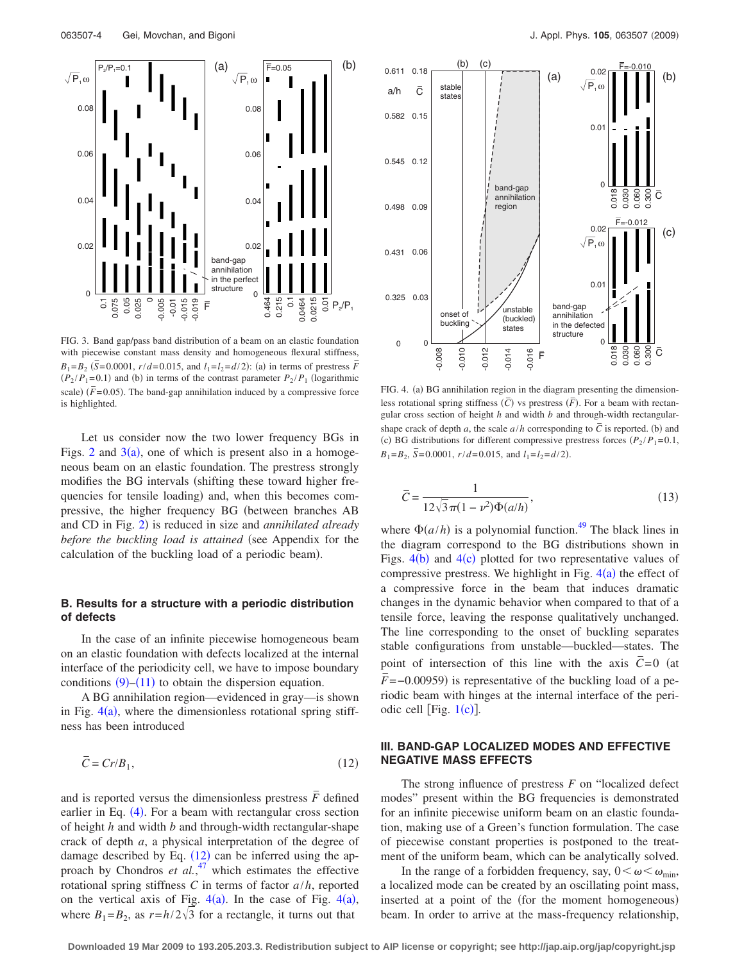<span id="page-3-0"></span>

FIG. 3. Band gap/pass band distribution of a beam on an elastic foundation with piecewise constant mass density and homogeneous flexural stiffness,  $B_1 = B_2$  ( $\overline{S} = 0.0001$ ,  $r/d = 0.015$ , and  $l_1 = l_2 = d/2$ ): (a) in terms of prestress  $\overline{F}$  $(P_2 / P_1 = 0.1)$  and (b) in terms of the contrast parameter  $P_2 / P_1$  (logarithmic scale)  $(F = 0.05)$ . The band-gap annihilation induced by a compressive force is highlighted.

Let us consider now the two lower frequency BGs in Figs. [2](#page-2-1) and  $3(a)$  $3(a)$ , one of which is present also in a homogeneous beam on an elastic foundation. The prestress strongly modifies the BG intervals (shifting these toward higher frequencies for tensile loading) and, when this becomes compressive, the higher frequency BG (between branches AB and CD in Fig. [2](#page-2-1)) is reduced in size and *annihilated already before the buckling load is attained* (see Appendix for the calculation of the buckling load of a periodic beam).

## **B. Results for a structure with a periodic distribution of defects**

In the case of an infinite piecewise homogeneous beam on an elastic foundation with defects localized at the internal interface of the periodicity cell, we have to impose boundary conditions  $(9)$  $(9)$  $(9)$ – $(11)$  $(11)$  $(11)$  to obtain the dispersion equation.

A BG annihilation region—evidenced in gray—is shown in Fig.  $4(a)$  $4(a)$ , where the dimensionless rotational spring stiffness has been introduced

<span id="page-3-2"></span>
$$
\overline{C} = Cr/B_1,\tag{12}
$$

and is reported versus the dimensionless prestress  $\overline{F}$  defined earlier in Eq. ([4](#page-1-6)). For a beam with rectangular cross section of height *h* and width *b* and through-width rectangular-shape crack of depth *a*, a physical interpretation of the degree of damage described by Eq.  $(12)$  $(12)$  $(12)$  can be inferred using the approach by Chondros *et al.*<sup>[47](#page-6-29)</sup> which estimates the effective rotational spring stiffness *C* in terms of factor *a*/*h*, reported on the vertical axis of Fig.  $4(a)$  $4(a)$ . In the case of Fig.  $4(a)$ , where  $B_1 = B_2$ , as  $r = h/2\sqrt{3}$  for a rectangle, it turns out that

<span id="page-3-1"></span>

FIG. 4. (a) BG annihilation region in the diagram presenting the dimensionless rotational spring stiffness  $(\overline{C})$  vs prestress  $(\overline{F})$ . For a beam with rectangular cross section of height *h* and width *b* and through-width rectangularshape crack of depth *a*, the scale  $a/h$  corresponding to  $\overline{C}$  is reported. (b) and (c) BG distributions for different compressive prestress forces  $(P_2 / P_1 = 0.1$ ,  $B_1 = B_2$ ,  $\bar{S} = 0.0001$ ,  $r/d = 0.015$ , and  $l_1 = l_2 = d/2$ .

$$
\bar{C} = \frac{1}{12\sqrt{3}\pi(1 - \nu^2)\Phi(a/h)},
$$
\n(13)

where  $\Phi(a/h)$  is a polynomial function.<sup>49</sup> The black lines in the diagram correspond to the BG distributions shown in Figs.  $4(b)$  $4(b)$  and  $4(c)$  plotted for two representative values of compressive prestress. We highlight in Fig.  $4(a)$  $4(a)$  the effect of a compressive force in the beam that induces dramatic changes in the dynamic behavior when compared to that of a tensile force, leaving the response qualitatively unchanged. The line corresponding to the onset of buckling separates stable configurations from unstable—buckled—states. The point of intersection of this line with the axis  $C=0$  (at  $\bar{F}$  =−0.00959) is representative of the buckling load of a periodic beam with hinges at the internal interface of the periodic cell [Fig.  $1(c)$  $1(c)$ ].

## **III. BAND-GAP LOCALIZED MODES AND EFFECTIVE NEGATIVE MASS EFFECTS**

The strong influence of prestress *F* on "localized defect modes" present within the BG frequencies is demonstrated for an infinite piecewise uniform beam on an elastic foundation, making use of a Green's function formulation. The case of piecewise constant properties is postponed to the treatment of the uniform beam, which can be analytically solved.

In the range of a forbidden frequency, say,  $0 < \omega < \omega_{\min}$ , a localized mode can be created by an oscillating point mass, inserted at a point of the (for the moment homogeneous) beam. In order to arrive at the mass-frequency relationship,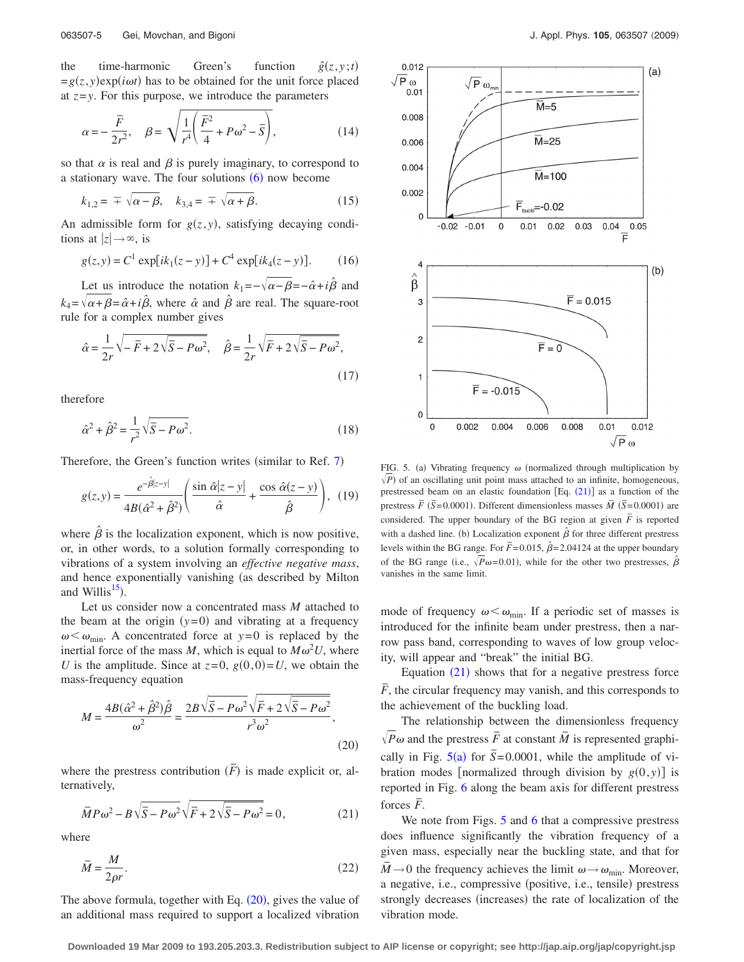the time-harmonic Green's function  $\hat{g}(z,y;t)$  $=g(z, y)exp(i\omega t)$  has to be obtained for the unit force placed at  $z = y$ . For this purpose, we introduce the parameters

$$
\alpha = -\frac{\bar{F}}{2r^2}, \quad \beta = \sqrt{\frac{1}{r^4} \left( \frac{\bar{F}^2}{4} + P\omega^2 - \bar{S} \right)},
$$
(14)

so that  $\alpha$  is real and  $\beta$  is purely imaginary, to correspond to a stationary wave. The four solutions  $(6)$  $(6)$  $(6)$  now become

$$
k_{1,2} = \pm \sqrt{\alpha - \beta}, \quad k_{3,4} = \pm \sqrt{\alpha + \beta}.
$$
 (15)

An admissible form for  $g(z, y)$ , satisfying decaying conditions at  $|z| \rightarrow \infty$ , is

$$
g(z, y) = C1 \exp[i k_1(z - y)] + C4 \exp[i k_4(z - y)].
$$
 (16)

Let us introduce the notation  $k_1 = -\sqrt{\alpha - \beta} = -\hat{\alpha} + i\hat{\beta}$  and  $k_4 = \sqrt{\alpha + \beta} = \hat{\alpha} + i\hat{\beta}$ , where  $\hat{\alpha}$  and  $\hat{\beta}$  are real. The square-root rule for a complex number gives

$$
\hat{\alpha} = \frac{1}{2r}\sqrt{-\bar{F} + 2\sqrt{\bar{S} - P\omega^2}}, \quad \hat{\beta} = \frac{1}{2r}\sqrt{\bar{F} + 2\sqrt{\bar{S} - P\omega^2}},
$$
\n(17)

therefore

$$
\hat{\alpha}^2 + \hat{\beta}^2 = \frac{1}{r^2} \sqrt{\overline{S} - P\omega^2}.
$$
\n(18)

Therefore, the Green's function writes (similar to Ref.  $7$ )

$$
g(z,y) = \frac{e^{-\hat{\beta}|z-y|}}{4B(\hat{\alpha}^2 + \hat{\beta}^2)} \left( \frac{\sin \hat{\alpha}|z-y|}{\hat{\alpha}} + \frac{\cos \hat{\alpha}(z-y)}{\hat{\beta}} \right), (19)
$$

where  $\hat{\beta}$  is the localization exponent, which is now positive, or, in other words, to a solution formally corresponding to vibrations of a system involving an *effective negative mass*, and hence exponentially vanishing (as described by Milton and Willis $^{15}$ ).

Let us consider now a concentrated mass *M* attached to the beam at the origin  $(y=0)$  and vibrating at a frequency  $\omega < \omega_{\min}$ . A concentrated force at *y*=0 is replaced by the inertial force of the mass M, which is equal to  $M\omega^2 U$ , where *U* is the amplitude. Since at  $z=0$ ,  $g(0,0)=U$ , we obtain the mass-frequency equation

<span id="page-4-0"></span>
$$
M = \frac{4B(\hat{\alpha}^2 + \hat{\beta}^2)\hat{\beta}}{\omega^2} = \frac{2B\sqrt{\overline{S} - P\omega^2}\sqrt{\overline{F} + 2\sqrt{\overline{S} - P\omega^2}}}{r^3\omega^2},
$$
\n(20)

where the prestress contribution  $(\overline{F})$  is made explicit or, alternatively,

<span id="page-4-1"></span>
$$
\overline{M}P\omega^2 - B\sqrt{\overline{S} - P\omega^2}\sqrt{\overline{F} + 2\sqrt{\overline{S} - P\omega^2}} = 0, \qquad (21)
$$

where

$$
\bar{M} = \frac{M}{2\rho r}.\tag{22}
$$

The above formula, together with Eq.  $(20)$  $(20)$  $(20)$ , gives the value of an additional mass required to support a localized vibration

<span id="page-4-2"></span>

FIG. 5. (a) Vibrating frequency  $\omega$  (normalized through multiplication by  $\sqrt{P}$ ) of an oscillating unit point mass attached to an infinite, homogeneous, prestressed beam on an elastic foundation  $[Eq. (21)]$  $[Eq. (21)]$  $[Eq. (21)]$  as a function of the prestress  $\overline{F}$  ( $\overline{S}$ =0.0001). Different dimensionless masses  $\overline{M}$  ( $\overline{S}$ =0.0001) are considered. The upper boundary of the BG region at given  $\overline{F}$  is reported with a dashed line. (b) Localization exponent  $\hat{\beta}$  for three different prestress levels within the BG range. For  $\bar{F}$  = 0.015,  $\hat{\beta}$  = 2.04124 at the upper boundary of the BG range (i.e.,  $\sqrt{P}\omega$ =0.01), while for the other two prestresses,  $\hat{\beta}$ vanishes in the same limit.

mode of frequency  $\omega < \omega_{\min}$ . If a periodic set of masses is introduced for the infinite beam under prestress, then a narrow pass band, corresponding to waves of low group velocity, will appear and "break" the initial BG.

Equation  $(21)$  $(21)$  $(21)$  shows that for a negative prestress force  $\overline{F}$ , the circular frequency may vanish, and this corresponds to the achievement of the buckling load.

The relationship between the dimensionless frequency  $\sqrt{P} \omega$  and the prestress  $\overline{F}$  at constant  $\overline{M}$  is represented graphically in Fig.  $5(a)$  $5(a)$  for  $\overline{S}$ =0.0001, while the amplitude of vibration modes [normalized through division by  $g(0, y)$ ] is reported in Fig. [6](#page-5-0) along the beam axis for different prestress  $\frac{1}{\sqrt{F}}$  forces  $\overline{F}$ .

We note from Figs. [5](#page-4-2) and [6](#page-5-0) that a compressive prestress does influence significantly the vibration frequency of a given mass, especially near the buckling state, and that for  $M \rightarrow 0$  the frequency achieves the limit  $\omega \rightarrow \omega_{\text{min}}$ . Moreover, a negative, i.e., compressive (positive, i.e., tensile) prestress strongly decreases (increases) the rate of localization of the vibration mode.

**Downloaded 19 Mar 2009 to 193.205.203.3. Redistribution subject to AIP license or copyright; see http://jap.aip.org/jap/copyright.jsp**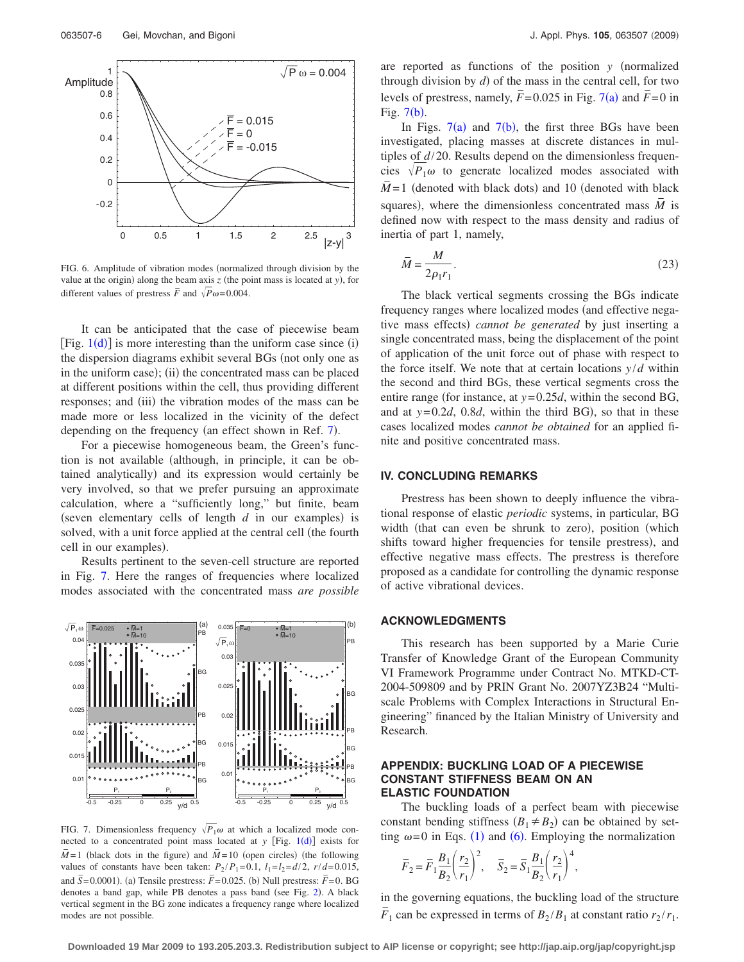<span id="page-5-0"></span>

FIG. 6. Amplitude of vibration modes (normalized through division by the value at the origin) along the beam axis  $z$  (the point mass is located at  $y$ ), for different values of prestress  $\overline{F}$  and  $\sqrt{P\omega}$ = 0.004.

It can be anticipated that the case of piecewise beam [Fig.  $1(d)$  $1(d)$ ] is more interesting than the uniform case since (i) the dispersion diagrams exhibit several BGs (not only one as in the uniform case); (ii) the concentrated mass can be placed at different positions within the cell, thus providing different responses; and (iii) the vibration modes of the mass can be made more or less localized in the vicinity of the defect depending on the frequency (an effect shown in Ref.  $7$ ).

For a piecewise homogeneous beam, the Green's function is not available (although, in principle, it can be obtained analytically) and its expression would certainly be very involved, so that we prefer pursuing an approximate calculation, where a "sufficiently long," but finite, beam (seven elementary cells of length  $d$  in our examples) is solved, with a unit force applied at the central cell (the fourth cell in our examples).

Results pertinent to the seven-cell structure are reported in Fig. [7.](#page-5-1) Here the ranges of frequencies where localized modes associated with the concentrated mass *are possible*

<span id="page-5-1"></span>

FIG. 7. Dimensionless frequency  $\sqrt{P_1}\omega$  at which a localized mode connected to a concentrated point mass located at  $y$  [Fig. [1](#page-1-0)(d)] exists for  $\overline{M}$  = 1 (black dots in the figure) and  $\overline{M}$  = 10 (open circles) (the following values of constants have been taken:  $P_2/P_1 = 0.1$ ,  $l_1 = l_2 = d/2$ ,  $r/d = 0.015$ , and  $\overline{S}$ =0.0001). (a) Tensile prestress:  $\overline{F}$ =0.025. (b) Null prestress:  $\overline{F}$ =0. BG denotes a band gap, while PB denotes a pass band (see Fig. [2](#page-2-1)). A black vertical segment in the BG zone indicates a frequency range where localized modes are not possible.

are reported as functions of the position *y* (normalized through division by  $d$ ) of the mass in the central cell, for two levels of prestress, namely,  $\overline{F}$  = 0.025 in Fig. [7](#page-5-1)(a) and  $\overline{F}$  = 0 in Fig.  $7(b)$  $7(b)$ .

In Figs.  $7(a)$  $7(a)$  and  $7(b)$ , the first three BGs have been investigated, placing masses at discrete distances in multiples of *d*/20. Results depend on the dimensionless frequencies  $\sqrt{P_1 \omega}$  to generate localized modes associated with  $\overline{M}$  = 1 (denoted with black dots) and 10 (denoted with black squares), where the dimensionless concentrated mass  $\overline{M}$  is defined now with respect to the mass density and radius of inertia of part 1, namely,

$$
\bar{M} = \frac{M}{2\rho_1 r_1}.\tag{23}
$$

The black vertical segments crossing the BGs indicate frequency ranges where localized modes (and effective negative mass effects) cannot be generated by just inserting a single concentrated mass, being the displacement of the point of application of the unit force out of phase with respect to the force itself. We note that at certain locations  $y/d$  within the second and third BGs, these vertical segments cross the entire range (for instance, at  $y=0.25d$ , within the second BG, and at  $y=0.2d$ , 0.8*d*, within the third BG), so that in these cases localized modes *cannot be obtained* for an applied finite and positive concentrated mass.

## **IV. CONCLUDING REMARKS**

Prestress has been shown to deeply influence the vibrational response of elastic *periodic* systems, in particular, BG width (that can even be shrunk to zero), position (which shifts toward higher frequencies for tensile prestress), and effective negative mass effects. The prestress is therefore proposed as a candidate for controlling the dynamic response of active vibrational devices.

#### **ACKNOWLEDGMENTS**

This research has been supported by a Marie Curie Transfer of Knowledge Grant of the European Community VI Framework Programme under Contract No. MTKD-CT-2004-509809 and by PRIN Grant No. 2007YZ3B24 "Multiscale Problems with Complex Interactions in Structural Engineering" financed by the Italian Ministry of University and Research.

### **APPENDIX: BUCKLING LOAD OF A PIECEWISE CONSTANT STIFFNESS BEAM ON AN ELASTIC FOUNDATION**

The buckling loads of a perfect beam with piecewise constant bending stiffness  $(B_1 \neq B_2)$  can be obtained by setting  $\omega = 0$  in Eqs. ([1](#page-1-2)) and ([6](#page-1-5)). Employing the normalization

$$
\overline{F}_2 = \overline{F}_1 \frac{B_1}{B_2} \left(\frac{r_2}{r_1}\right)^2, \quad \overline{S}_2 = \overline{S}_1 \frac{B_1}{B_2} \left(\frac{r_2}{r_1}\right)^4,
$$

in the governing equations, the buckling load of the structure  $\overline{F}_1$  can be expressed in terms of  $B_2/B_1$  at constant ratio  $r_2/r_1$ .

**Downloaded 19 Mar 2009 to 193.205.203.3. Redistribution subject to AIP license or copyright; see http://jap.aip.org/jap/copyright.jsp**